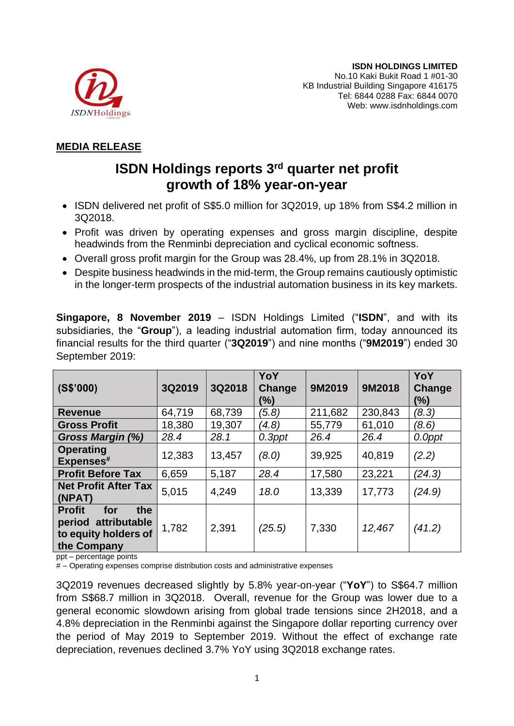

## **MEDIA RELEASE**

## **ISDN Holdings reports 3 rd quarter net profit growth of 18% year-on-year**

- ISDN delivered net profit of S\$5.0 million for 3Q2019, up 18% from S\$4.2 million in 3Q2018.
- Profit was driven by operating expenses and gross margin discipline, despite headwinds from the Renminbi depreciation and cyclical economic softness.
- Overall gross profit margin for the Group was 28.4%, up from 28.1% in 3Q2018.
- Despite business headwinds in the mid-term, the Group remains cautiously optimistic in the longer-term prospects of the industrial automation business in its key markets.

**Singapore, 8 November 2019** – ISDN Holdings Limited ("**ISDN**", and with its subsidiaries, the "**Group**"), a leading industrial automation firm, today announced its financial results for the third quarter ("**3Q2019**") and nine months ("**9M2019**") ended 30 September 2019:

| (S\$'000)                                                                                 | 3Q2019 | 3Q2018 | YoY<br>Change<br>(%) | 9M2019  | 9M2018  | YoY<br>Change<br>(%) |
|-------------------------------------------------------------------------------------------|--------|--------|----------------------|---------|---------|----------------------|
| <b>Revenue</b>                                                                            | 64,719 | 68,739 | (5.8)                | 211,682 | 230,843 | (8.3)                |
| <b>Gross Profit</b>                                                                       | 18,380 | 19,307 | (4.8)                | 55,779  | 61,010  | (8.6)                |
| Gross Margin (%)                                                                          | 28.4   | 28.1   | $0.3$ ppt            | 26.4    | 26.4    | 0.0ppt               |
| <b>Operating</b><br>Expenses#                                                             | 12,383 | 13,457 | (8.0)                | 39,925  | 40,819  | (2.2)                |
| <b>Profit Before Tax</b>                                                                  | 6,659  | 5,187  | 28.4                 | 17,580  | 23,221  | (24.3)               |
| <b>Net Profit After Tax</b><br>(NPAT)                                                     | 5,015  | 4,249  | 18.0                 | 13,339  | 17,773  | (24.9)               |
| for<br><b>Profit</b><br>the<br>period attributable<br>to equity holders of<br>the Company | 1,782  | 2,391  | (25.5)               | 7,330   | 12,467  | (41.2)               |

ppt – percentage points

# – Operating expenses comprise distribution costs and administrative expenses

3Q2019 revenues decreased slightly by 5.8% year-on-year ("**YoY**") to S\$64.7 million from S\$68.7 million in 3Q2018. Overall, revenue for the Group was lower due to a general economic slowdown arising from global trade tensions since 2H2018, and a 4.8% depreciation in the Renminbi against the Singapore dollar reporting currency over the period of May 2019 to September 2019. Without the effect of exchange rate depreciation, revenues declined 3.7% YoY using 3Q2018 exchange rates.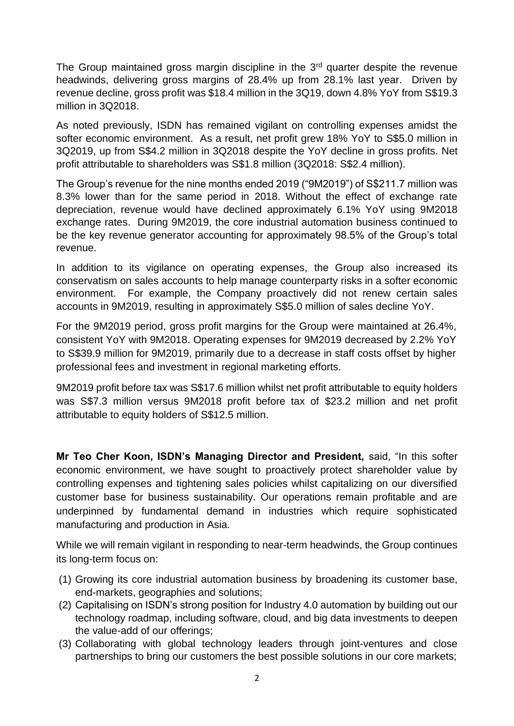The Group maintained gross margin discipline in the  $3<sup>rd</sup>$  quarter despite the revenue headwinds, delivering gross margins of 28.4% up from 28.1% last year. Driven by revenue decline, gross profit was \$18.4 million in the 3Q19, down 4.8% YoY from S\$19.3 million in 3Q2018.

As noted previously, ISDN has remained vigilant on controlling expenses amidst the softer economic environment. As a result, net profit grew 18% YoY to S\$5.0 million in 3Q2019, up from S\$4.2 million in 3Q2018 despite the YoY decline in gross profits. Net profit attributable to shareholders was S\$1.8 million (3Q2018: S\$2.4 million).

The Group's revenue for the nine months ended 2019 ("9M2019") of S\$211.7 million was 8.3% lower than for the same period in 2018. Without the effect of exchange rate depreciation, revenue would have declined approximately 6.1% YoY using 9M2018 exchange rates. During 9M2019, the core industrial automation business continued to be the key revenue generator accounting for approximately 98.5% of the Group's total revenue.

In addition to its vigilance on operating expenses, the Group also increased its conservatism on sales accounts to help manage counterparty risks in a softer economic environment. For example, the Company proactively did not renew certain sales accounts in 9M2019, resulting in approximately S\$5.0 million of sales decline YoY.

For the 9M2019 period, gross profit margins for the Group were maintained at 26.4%, consistent YoY with 9M2018. Operating expenses for 9M2019 decreased by 2.2% YoY to S\$39.9 million for 9M2019, primarily due to a decrease in staff costs offset by higher professional fees and investment in regional marketing efforts.

9M2019 profit before tax was S\$17.6 million whilst net profit attributable to equity holders was S\$7.3 million versus 9M2018 profit before tax of \$23.2 million and net profit attributable to equity holders of S\$12.5 million.

**Mr Teo Cher Koon, ISDN's Managing Director and President,** said, "In this softer economic environment, we have sought to proactively protect shareholder value by controlling expenses and tightening sales policies whilst capitalizing on our diversified customer base for business sustainability. Our operations remain profitable and are underpinned by fundamental demand in industries which require sophisticated manufacturing and production in Asia.

While we will remain vigilant in responding to near-term headwinds, the Group continues its long-term focus on:

- (1) Growing its core industrial automation business by broadening its customer base, end-markets, geographies and solutions;
- (2) Capitalising on ISDN's strong position for Industry 4.0 automation by building out our technology roadmap, including software, cloud, and big data investments to deepen the value-add of our offerings;
- (3) Collaborating with global technology leaders through joint-ventures and close partnerships to bring our customers the best possible solutions in our core markets;